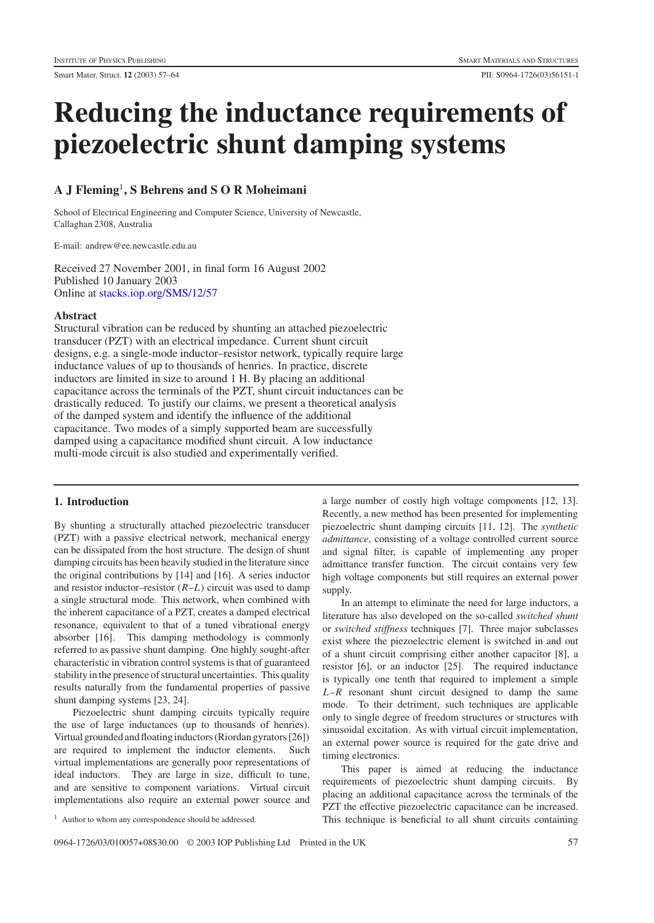# **Reducing the inductance requirements of piezoelectric shunt damping systems**

# **A J Fleming**<sup>1</sup>**, S Behrens and S O R Moheimani**

School of Electrical Engineering and Computer Science, University of Newcastle, Callaghan 2308, Australia

E-mail: andrew@ee.newcastle.edu.au

Received 27 November 2001, in final form 16 August 2002 Published 10 January 2003 Online at [stacks.iop.org/SMS/12/57](http://stacks.iop.org/SMS/12/57)

## **Abstract**

Structural vibration can be reduced by shunting an attached piezoelectric transducer (PZT) with an electrical impedance. Current shunt circuit designs, e.g. a single-mode inductor–resistor network, typically require large inductance values of up to thousands of henries. In practice, discrete inductors are limited in size to around 1 H. By placing an additional capacitance across the terminals of the PZT, shunt circuit inductances can be drastically reduced. To justify our claims, we present a theoretical analysis of the damped system and identify the influence of the additional capacitance. Two modes of a simply supported beam are successfully damped using a capacitance modified shunt circuit. A low inductance multi-mode circuit is also studied and experimentally verified.

# **1. Introduction**

By shunting a structurally attached piezoelectric transducer (PZT) with a passive electrical network, mechanical energy can be dissipated from the host structure. The design of shunt damping circuits has been heavily studied in the literature since the original contributions by [14] and [16]. A series inductor and resistor inductor–resistor (*R*–*L*) circuit was used to damp a single structural mode. This network, when combined with the inherent capacitance of a PZT, creates a damped electrical resonance, equivalent to that of a tuned vibrational energy absorber [16]. This damping methodology is commonly referred to as passive shunt damping. One highly sought-after characteristic in vibration control systems is that of guaranteed stability in the presence of structural uncertainties. This quality results naturally from the fundamental properties of passive shunt damping systems [23, 24].

Piezoelectric shunt damping circuits typically require the use of large inductances (up to thousands of henries). Virtual grounded and floating inductors (Riordan gyrators [26]) are required to implement the inductor elements. Such virtual implementations are generally poor representations of ideal inductors. They are large in size, difficult to tune, and are sensitive to component variations. Virtual circuit implementations also require an external power source and

<sup>1</sup> Author to whom any correspondence should be addressed.

a large number of costly high voltage components [12, 13]. Recently, a new method has been presented for implementing piezoelectric shunt damping circuits [11, 12]. The *synthetic admittance*, consisting of a voltage controlled current source and signal filter, is capable of implementing any proper admittance transfer function. The circuit contains very few high voltage components but still requires an external power supply.

In an attempt to eliminate the need for large inductors, a literature has also developed on the so-called *switched shunt* or *switched stiffness* techniques [7]. Three major subclasses exist where the piezoelectric element is switched in and out of a shunt circuit comprising either another capacitor [8], a resistor [6], or an inductor [25]. The required inductance is typically one tenth that required to implement a simple *L*–*R* resonant shunt circuit designed to damp the same mode. To their detriment, such techniques are applicable only to single degree of freedom structures or structures with sinusoidal excitation. As with virtual circuit implementation, an external power source is required for the gate drive and timing electronics.

This paper is aimed at reducing the inductance requirements of piezoelectric shunt damping circuits. By placing an additional capacitance across the terminals of the PZT the effective piezoelectric capacitance can be increased. This technique is beneficial to all shunt circuits containing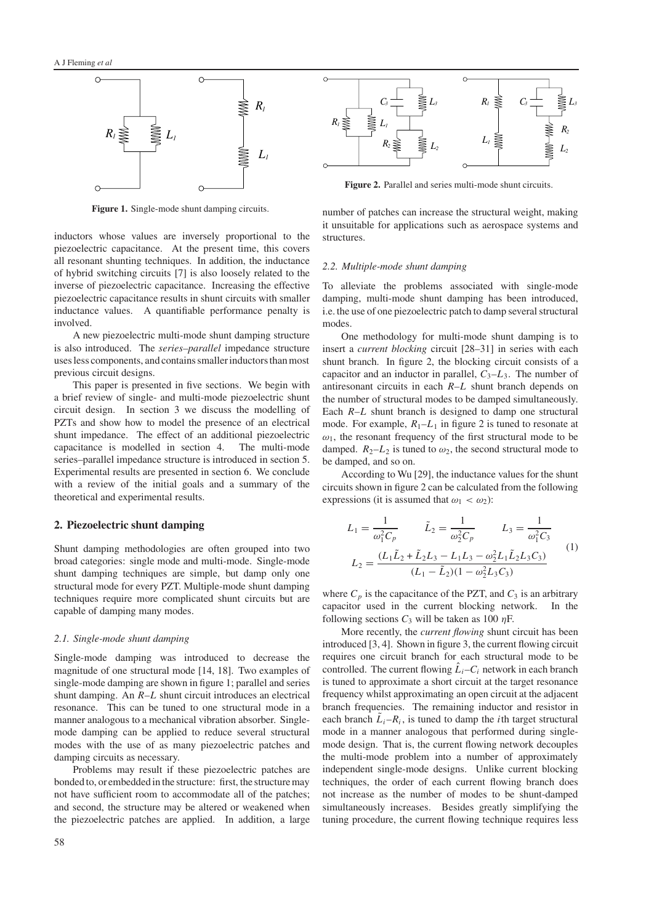

**Figure 1.** Single-mode shunt damping circuits.

inductors whose values are inversely proportional to the piezoelectric capacitance. At the present time, this covers all resonant shunting techniques. In addition, the inductance of hybrid switching circuits [7] is also loosely related to the inverse of piezoelectric capacitance. Increasing the effective piezoelectric capacitance results in shunt circuits with smaller inductance values. A quantifiable performance penalty is involved.

A new piezoelectric multi-mode shunt damping structure is also introduced. The *series–parallel* impedance structure uses less components, and contains smaller inductors than most previous circuit designs.

This paper is presented in five sections. We begin with a brief review of single- and multi-mode piezoelectric shunt circuit design. In section 3 we discuss the modelling of PZTs and show how to model the presence of an electrical shunt impedance. The effect of an additional piezoelectric capacitance is modelled in section 4. The multi-mode series–parallel impedance structure is introduced in section 5. Experimental results are presented in section 6. We conclude with a review of the initial goals and a summary of the theoretical and experimental results.

# **2. Piezoelectric shunt damping**

Shunt damping methodologies are often grouped into two broad categories: single mode and multi-mode. Single-mode shunt damping techniques are simple, but damp only one structural mode for every PZT. Multiple-mode shunt damping techniques require more complicated shunt circuits but are capable of damping many modes.

#### *2.1. Single-mode shunt damping*

Single-mode damping was introduced to decrease the magnitude of one structural mode [14, 18]. Two examples of single-mode damping are shown in figure 1; parallel and series shunt damping. An *R*–*L* shunt circuit introduces an electrical resonance. This can be tuned to one structural mode in a manner analogous to a mechanical vibration absorber. Singlemode damping can be applied to reduce several structural modes with the use of as many piezoelectric patches and damping circuits as necessary.

Problems may result if these piezoelectric patches are bonded to, or embedded in the structure: first, the structure may not have sufficient room to accommodate all of the patches; and second, the structure may be altered or weakened when the piezoelectric patches are applied. In addition, a large



**Figure 2.** Parallel and series multi-mode shunt circuits.

number of patches can increase the structural weight, making it unsuitable for applications such as aerospace systems and structures.

#### *2.2. Multiple-mode shunt damping*

To alleviate the problems associated with single-mode damping, multi-mode shunt damping has been introduced, i.e. the use of one piezoelectric patch to damp several structural modes.

One methodology for multi-mode shunt damping is to insert a *current blocking* circuit [28–31] in series with each shunt branch. In figure 2, the blocking circuit consists of a capacitor and an inductor in parallel,  $C_3 - L_3$ . The number of antiresonant circuits in each *R*–*L* shunt branch depends on the number of structural modes to be damped simultaneously. Each *R*–*L* shunt branch is designed to damp one structural mode. For example,  $R_1 - L_1$  in figure 2 is tuned to resonate at  $\omega_1$ , the resonant frequency of the first structural mode to be damped.  $R_2-L_2$  is tuned to  $\omega_2$ , the second structural mode to be damped, and so on.

According to Wu [29], the inductance values for the shunt circuits shown in figure 2 can be calculated from the following expressions (it is assumed that  $\omega_1 < \omega_2$ ):

$$
L_1 = \frac{1}{\omega_1^2 C_p} \qquad \tilde{L}_2 = \frac{1}{\omega_2^2 C_p} \qquad L_3 = \frac{1}{\omega_1^2 C_3}
$$

$$
L_2 = \frac{(L_1 \tilde{L}_2 + \tilde{L}_2 L_3 - L_1 L_3 - \omega_2^2 L_1 \tilde{L}_2 L_3 C_3)}{(L_1 - \tilde{L}_2)(1 - \omega_2^2 L_3 C_3)} \qquad (1)
$$

where  $C_p$  is the capacitance of the PZT, and  $C_3$  is an arbitrary capacitor used in the current blocking network. In the following sections  $C_3$  will be taken as 100  $\eta$ F.

More recently, the *current flowing* shunt circuit has been introduced [3, 4]. Shown in figure 3, the current flowing circuit requires one circuit branch for each structural mode to be controlled. The current flowing  $\hat{L}_i - C_i$  network in each branch is tuned to approximate a short circuit at the target resonance frequency whilst approximating an open circuit at the adjacent branch frequencies. The remaining inductor and resistor in each branch  $\tilde{L}_i - R_i$ , is tuned to damp the *i*th target structural mode in a manner analogous that performed during singlemode design. That is, the current flowing network decouples the multi-mode problem into a number of approximately independent single-mode designs. Unlike current blocking techniques, the order of each current flowing branch does not increase as the number of modes to be shunt-damped simultaneously increases. Besides greatly simplifying the tuning procedure, the current flowing technique requires less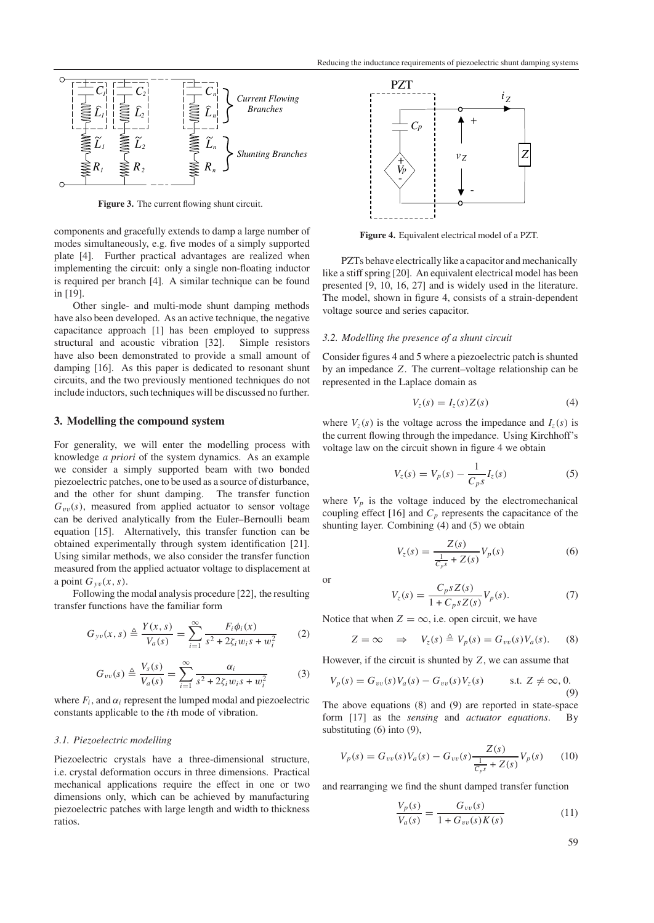

**Figure 3.** The current flowing shunt circuit.

components and gracefully extends to damp a large number of modes simultaneously, e.g. five modes of a simply supported plate [4]. Further practical advantages are realized when implementing the circuit: only a single non-floating inductor is required per branch [4]. A similar technique can be found in [19].

Other single- and multi-mode shunt damping methods have also been developed. As an active technique, the negative capacitance approach [1] has been employed to suppress structural and acoustic vibration [32]. Simple resistors have also been demonstrated to provide a small amount of damping [16]. As this paper is dedicated to resonant shunt circuits, and the two previously mentioned techniques do not include inductors, such techniques will be discussed no further.

#### **3. Modelling the compound system**

For generality, we will enter the modelling process with knowledge *a priori* of the system dynamics. As an example we consider a simply supported beam with two bonded piezoelectric patches, one to be used as a source of disturbance, and the other for shunt damping. The transfer function  $G_{vv}(s)$ , measured from applied actuator to sensor voltage can be derived analytically from the Euler–Bernoulli beam equation [15]. Alternatively, this transfer function can be obtained experimentally through system identification [21]. Using similar methods, we also consider the transfer function measured from the applied actuator voltage to displacement at a point  $G_{\nu\nu}(x, s)$ .

Following the modal analysis procedure [22], the resulting transfer functions have the familiar form

$$
G_{yv}(x,s) \triangleq \frac{Y(x,s)}{V_a(s)} = \sum_{i=1}^{\infty} \frac{F_i \phi_i(x)}{s^2 + 2\zeta_i w_i s + w_i^2}
$$
 (2)

$$
G_{vv}(s) \triangleq \frac{V_s(s)}{V_a(s)} = \sum_{i=1}^{\infty} \frac{\alpha_i}{s^2 + 2\zeta_i w_i s + w_i^2}
$$
(3)

where  $F_i$ , and  $\alpha_i$  represent the lumped modal and piezoelectric constants applicable to the *i*th mode of vibration.

#### *3.1. Piezoelectric modelling*

Piezoelectric crystals have a three-dimensional structure, i.e. crystal deformation occurs in three dimensions. Practical mechanical applications require the effect in one or two dimensions only, which can be achieved by manufacturing piezoelectric patches with large length and width to thickness ratios.



**Figure 4.** Equivalent electrical model of a PZT.

PZTs behave electrically like a capacitor and mechanically like a stiff spring [20]. An equivalent electrical model has been presented [9, 10, 16, 27] and is widely used in the literature. The model, shown in figure 4, consists of a strain-dependent voltage source and series capacitor.

#### *3.2. Modelling the presence of a shunt circuit*

Consider figures 4 and 5 where a piezoelectric patch is shunted by an impedance *Z*. The current–voltage relationship can be represented in the Laplace domain as

$$
V_z(s) = I_z(s)Z(s) \tag{4}
$$

where  $V_z(s)$  is the voltage across the impedance and  $I_z(s)$  is the current flowing through the impedance. Using Kirchhoff's voltage law on the circuit shown in figure 4 we obtain

$$
V_z(s) = V_p(s) - \frac{1}{C_p s} I_z(s)
$$
 (5)

where  $V_p$  is the voltage induced by the electromechanical coupling effect [16] and  $C_p$  represents the capacitance of the shunting layer. Combining (4) and (5) we obtain

$$
V_z(s) = \frac{Z(s)}{\frac{1}{C_{p}s} + Z(s)} V_p(s)
$$
 (6)

or

$$
V_z(s) = \frac{C_p s Z(s)}{1 + C_p s Z(s)} V_p(s).
$$
 (7)

Notice that when  $Z = \infty$ , i.e. open circuit, we have

$$
Z = \infty \quad \Rightarrow \quad V_z(s) \triangleq V_p(s) = G_{vv}(s) V_a(s). \tag{8}
$$

However, if the circuit is shunted by *Z*, we can assume that

$$
V_p(s) = G_{vv}(s)V_a(s) - G_{vv}(s)V_z(s) \qquad s.t. \ Z \neq \infty, 0.
$$
\n(9)

The above equations (8) and (9) are reported in state-space form [17] as the *sensing* and *actuator equations*. By substituting (6) into (9),

$$
V_p(s) = G_{vv}(s)V_a(s) - G_{vv}(s)\frac{Z(s)}{\frac{1}{C_p s} + Z(s)}V_p(s)
$$
 (10)

and rearranging we find the shunt damped transfer function

$$
\frac{V_p(s)}{V_a(s)} = \frac{G_{vv}(s)}{1 + G_{vv}(s)K(s)}\tag{11}
$$

59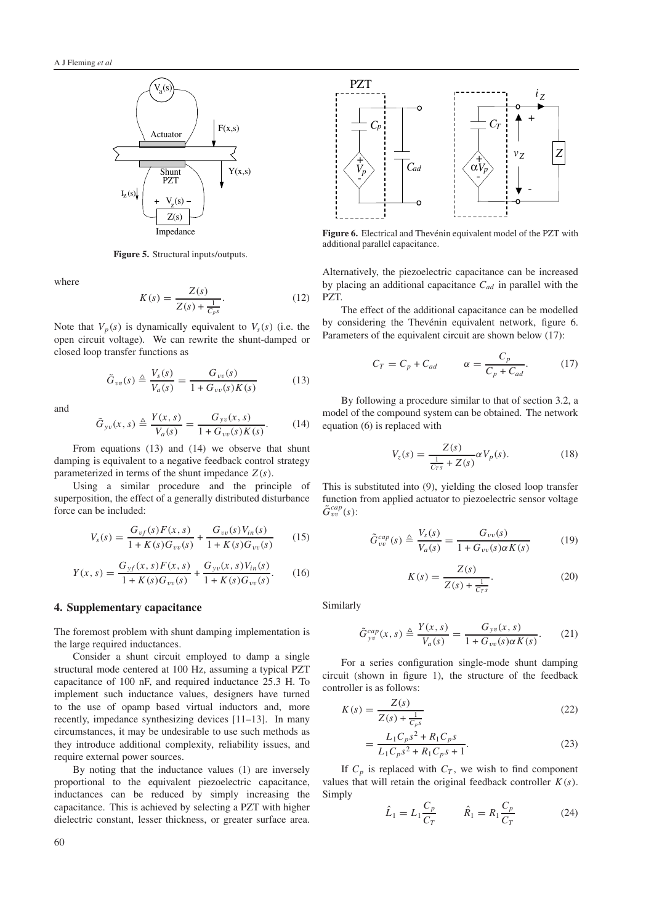

**Figure 5.** Structural inputs/outputs.

where

$$
K(s) = \frac{Z(s)}{Z(s) + \frac{1}{C_{p}s}}.\t(12)
$$

Note that  $V_p(s)$  is dynamically equivalent to  $V_s(s)$  (i.e. the open circuit voltage). We can rewrite the shunt-damped or closed loop transfer functions as

$$
\tilde{G}_{vv}(s) \triangleq \frac{V_s(s)}{V_a(s)} = \frac{G_{vv}(s)}{1 + G_{vv}(s)K(s)}\tag{13}
$$

and

$$
\tilde{G}_{yv}(x,s) \triangleq \frac{Y(x,s)}{V_a(s)} = \frac{G_{yv}(x,s)}{1 + G_{vv}(s)K(s)}.
$$
 (14)

From equations (13) and (14) we observe that shunt damping is equivalent to a negative feedback control strategy parameterized in terms of the shunt impedance  $Z(s)$ .

Using a similar procedure and the principle of superposition, the effect of a generally distributed disturbance force can be included:

$$
V_s(s) = \frac{G_{vf}(s)F(x,s)}{1 + K(s)G_{vv}(s)} + \frac{G_{vv}(s)V_{in}(s)}{1 + K(s)G_{vv}(s)}\tag{15}
$$

$$
Y(x,s) = \frac{G_{yf}(x,s)F(x,s)}{1+K(s)G_{vv}(s)} + \frac{G_{yv}(x,s)V_{in}(s)}{1+K(s)G_{vv}(s)}.
$$
 (16)

## **4. Supplementary capacitance**

The foremost problem with shunt damping implementation is the large required inductances.

Consider a shunt circuit employed to damp a single structural mode centered at 100 Hz, assuming a typical PZT capacitance of 100 nF, and required inductance 25.3 H. To implement such inductance values, designers have turned to the use of opamp based virtual inductors and, more recently, impedance synthesizing devices [11–13]. In many circumstances, it may be undesirable to use such methods as they introduce additional complexity, reliability issues, and require external power sources.

By noting that the inductance values (1) are inversely proportional to the equivalent piezoelectric capacitance, inductances can be reduced by simply increasing the capacitance. This is achieved by selecting a PZT with higher dielectric constant, lesser thickness, or greater surface area.



Figure 6. Electrical and Thevénin equivalent model of the PZT with additional parallel capacitance.

Alternatively, the piezoelectric capacitance can be increased by placing an additional capacitance *Cad* in parallel with the PZT.

The effect of the additional capacitance can be modelled by considering the Thevénin equivalent network, figure 6. Parameters of the equivalent circuit are shown below (17):

$$
C_T = C_p + C_{ad} \qquad \alpha = \frac{C_p}{C_p + C_{ad}}.\tag{17}
$$

By following a procedure similar to that of section 3.2, a model of the compound system can be obtained. The network equation (6) is replaced with

$$
V_z(s) = \frac{Z(s)}{\frac{1}{C_{rs}} + Z(s)} \alpha V_p(s).
$$
 (18)

This is substituted into (9), yielding the closed loop transfer function from applied actuator to piezoelectric sensor voltage  $\tilde{G}^{cap}_{vv}(s)$ :

$$
\tilde{G}_{vv}^{cap}(s) \triangleq \frac{V_s(s)}{V_a(s)} = \frac{G_{vv}(s)}{1 + G_{vv}(s)\alpha K(s)}\tag{19}
$$

$$
K(s) = \frac{Z(s)}{Z(s) + \frac{1}{C_{TS}}}.
$$
 (20)

Similarly

$$
\tilde{G}_{yv}^{cap}(x,s) \triangleq \frac{Y(x,s)}{V_a(s)} = \frac{G_{yv}(x,s)}{1 + G_{vv}(s)\alpha K(s)}.
$$
 (21)

For a series configuration single-mode shunt damping circuit (shown in figure 1), the structure of the feedback controller is as follows:

$$
K(s) = \frac{Z(s)}{Z(s) + \frac{1}{C_{p}s}}
$$
\n(22)

$$
=\frac{L_1C_ps^2 + R_1C_ps}{L_1C_ps^2 + R_1C_ps + 1}.
$$
\n(23)

If  $C_p$  is replaced with  $C_T$ , we wish to find component values that will retain the original feedback controller  $K(s)$ . Simply

$$
\hat{L}_1 = L_1 \frac{C_p}{C_T} \qquad \hat{R}_1 = R_1 \frac{C_p}{C_T} \tag{24}
$$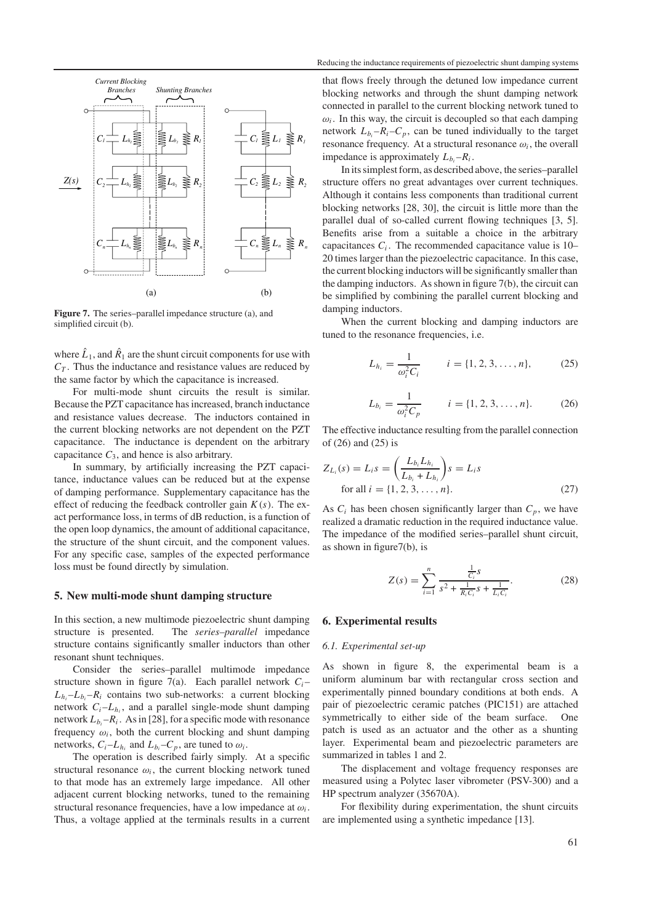

**Figure 7.** The series–parallel impedance structure (a), and simplified circuit (b).

where  $\hat{L}_1$ , and  $\hat{R}_1$  are the shunt circuit components for use with  $C_T$ . Thus the inductance and resistance values are reduced by the same factor by which the capacitance is increased.

For multi-mode shunt circuits the result is similar. Because the PZT capacitance has increased, branch inductance and resistance values decrease. The inductors contained in the current blocking networks are not dependent on the PZT capacitance. The inductance is dependent on the arbitrary capacitance  $C_3$ , and hence is also arbitrary.

In summary, by artificially increasing the PZT capacitance, inductance values can be reduced but at the expense of damping performance. Supplementary capacitance has the effect of reducing the feedback controller gain *K*(*s*). The exact performance loss, in terms of dB reduction, is a function of the open loop dynamics, the amount of additional capacitance, the structure of the shunt circuit, and the component values. For any specific case, samples of the expected performance loss must be found directly by simulation.

#### **5. New multi-mode shunt damping structure**

In this section, a new multimode piezoelectric shunt damping structure is presented. The *series–parallel* impedance structure contains significantly smaller inductors than other resonant shunt techniques.

Consider the series–parallel multimode impedance structure shown in figure 7(a). Each parallel network  $C_i$ - $L_h - L_b - R_i$  contains two sub-networks: a current blocking network  $C_i - L_{h_i}$ , and a parallel single-mode shunt damping network  $L_{b_i}$ – $R_i$ . As in [28], for a specific mode with resonance frequency  $\omega_i$ , both the current blocking and shunt damping networks,  $C_i - L_{h_i}$  and  $L_{b_i} - C_p$ , are tuned to  $\omega_i$ .

The operation is described fairly simply. At a specific structural resonance  $\omega_i$ , the current blocking network tuned to that mode has an extremely large impedance. All other adjacent current blocking networks, tuned to the remaining structural resonance frequencies, have a low impedance at  $\omega_i$ . Thus, a voltage applied at the terminals results in a current

that flows freely through the detuned low impedance current blocking networks and through the shunt damping network connected in parallel to the current blocking network tuned to  $\omega_i$ . In this way, the circuit is decoupled so that each damping network  $L_{b_i} - R_i - C_p$ , can be tuned individually to the target resonance frequency. At a structural resonance  $\omega_i$ , the overall impedance is approximately  $L_{b_i} - R_i$ .

In its simplest form, as described above, the series–parallel structure offers no great advantages over current techniques. Although it contains less components than traditional current blocking networks [28, 30], the circuit is little more than the parallel dual of so-called current flowing techniques [3, 5]. Benefits arise from a suitable a choice in the arbitrary capacitances  $C_i$ . The recommended capacitance value is  $10-$ 20 times larger than the piezoelectric capacitance. In this case, the current blocking inductors will be significantly smaller than the damping inductors. As shown in figure 7(b), the circuit can be simplified by combining the parallel current blocking and damping inductors.

When the current blocking and damping inductors are tuned to the resonance frequencies, i.e.

$$
L_{h_i} = \frac{1}{\omega_i^2 C_i} \qquad i = \{1, 2, 3, \dots, n\},\tag{25}
$$

$$
L_{b_i} = \frac{1}{\omega_i^2 C_p} \qquad i = \{1, 2, 3, \dots, n\}.
$$
 (26)

The effective inductance resulting from the parallel connection of (26) and (25) is

$$
Z_{L_i}(s) = L_i s = \left(\frac{L_{b_i} L_{h_i}}{L_{b_i} + L_{h_i}}\right) s = L_i s
$$
  
for all  $i = \{1, 2, 3, ..., n\}.$  (27)

As  $C_i$  has been chosen significantly larger than  $C_p$ , we have realized a dramatic reduction in the required inductance value. The impedance of the modified series–parallel shunt circuit, as shown in figure7(b), is

$$
Z(s) = \sum_{i=1}^{n} \frac{\frac{1}{C_i s}}{s^2 + \frac{1}{R_i C_i} s + \frac{1}{L_i C_i}}.
$$
 (28)

## **6. Experimental results**

#### *6.1. Experimental set-up*

As shown in figure 8, the experimental beam is a uniform aluminum bar with rectangular cross section and experimentally pinned boundary conditions at both ends. A pair of piezoelectric ceramic patches (PIC151) are attached symmetrically to either side of the beam surface. One patch is used as an actuator and the other as a shunting layer. Experimental beam and piezoelectric parameters are summarized in tables 1 and 2.

The displacement and voltage frequency responses are measured using a Polytec laser vibrometer (PSV-300) and a HP spectrum analyzer (35670A).

For flexibility during experimentation, the shunt circuits are implemented using a synthetic impedance [13].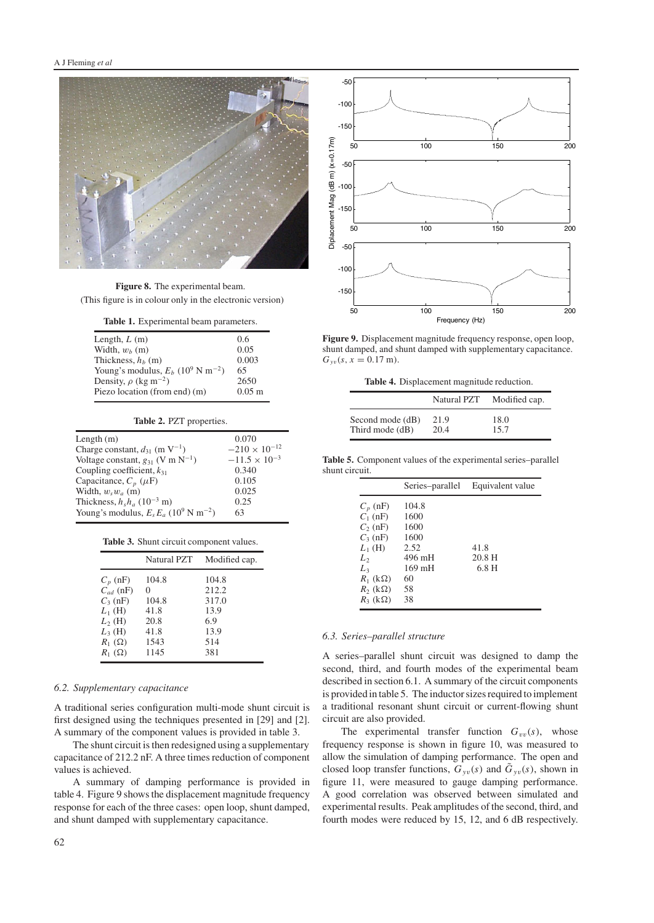

**Figure 8.** The experimental beam. (This figure is in colour only in the electronic version)

**Table 1.** Experimental beam parameters.

| Length, $L(m)$                                              | 0.6                  |
|-------------------------------------------------------------|----------------------|
| Width, $w_h$ (m)                                            | 0.05                 |
| Thickness, $h_h$ (m)                                        | 0.003                |
| Young's modulus, $E_b$ (10 <sup>9</sup> N m <sup>-2</sup> ) | 65                   |
| Density, $\rho$ (kg m <sup>-2</sup> )                       | 2650                 |
| Piezo location (from end) (m)                               | $0.05 \; \mathrm{m}$ |
|                                                             |                      |

| Table 2. PZT properties.                                        |                        |  |
|-----------------------------------------------------------------|------------------------|--|
| Length $(m)$                                                    | 0.070                  |  |
| Charge constant, $d_{31}$ (m V <sup>-1</sup> )                  | $-210 \times 10^{-12}$ |  |
| Voltage constant, $g_{31}$ (V m N <sup>-1</sup> )               | $-11.5 \times 10^{-3}$ |  |
| Coupling coefficient, $k_{31}$                                  | 0.340                  |  |
| Capacitance, $C_p$ ( $\mu$ F)                                   | 0.105                  |  |
| Width, $w_s w_a$ (m)                                            | 0.025                  |  |
| Thickness, $h_s h_a$ (10 <sup>-3</sup> m)                       | 0.25                   |  |
| Young's modulus, $E_s E_a$ (10 <sup>9</sup> N m <sup>-2</sup> ) | 63                     |  |

|  |  |  | Table 3. Shunt circuit component values. |  |
|--|--|--|------------------------------------------|--|
|--|--|--|------------------------------------------|--|

|               | Natural PZT | Modified cap. |
|---------------|-------------|---------------|
| $C_p$ (nF)    | 104.8       | 104.8         |
| $C_{ad}$ (nF) | 0           | 212.2         |
| $C_3$ (nF)    | 104.8       | 317.0         |
| $L_1$ (H)     | 41.8        | 13.9          |
| $L_2$ (H)     | 20.8        | 6.9           |
| $L_3$ (H)     | 41.8        | 13.9          |
| $R_1(\Omega)$ | 1543        | 514           |
| $R_1(\Omega)$ | 1145        | 381           |

#### *6.2. Supplementary capacitance*

A traditional series configuration multi-mode shunt circuit is first designed using the techniques presented in [29] and [2]. A summary of the component values is provided in table 3.

The shunt circuit is then redesigned using a supplementary capacitance of 212.2 nF. A three times reduction of component values is achieved.

A summary of damping performance is provided in table 4. Figure 9 shows the displacement magnitude frequency response for each of the three cases: open loop, shunt damped, and shunt damped with supplementary capacitance.



**Figure 9.** Displacement magnitude frequency response, open loop, shunt damped, and shunt damped with supplementary capacitance.  $G_{yy}(s, x = 0.17 \text{ m}).$ 

**Table 4.** Displacement magnitude reduction.

|                  | Natural PZT | Modified cap. |
|------------------|-------------|---------------|
| Second mode (dB) | 21.9        | 18.0          |
| Third mode (dB)  | 20.4        | 15.7          |

**Table 5.** Component values of the experimental series–parallel shunt circuit.

|                     | Series-parallel  | Equivalent value |
|---------------------|------------------|------------------|
| $C_p$ (nF)          | 104.8            |                  |
| $C_1$ (nF)          | 1600             |                  |
| $C_2$ (nF)          | 1600             |                  |
| $C_3$ (nF)          | 1600             |                  |
| $L_1$ (H)           | 2.52             | 41.8             |
| L,                  | 496 mH           | 20.8H            |
| L <sub>3</sub>      | $169 \text{ mH}$ | 6.8 <sub>H</sub> |
| $R_1$ (k $\Omega$ ) | 60               |                  |
| $R_2$ (k $\Omega$ ) | 58               |                  |
| $R_3$ (k $\Omega$ ) | 38               |                  |

#### *6.3. Series–parallel structure*

A series–parallel shunt circuit was designed to damp the second, third, and fourth modes of the experimental beam described in section 6.1. A summary of the circuit components is provided in table 5. The inductor sizes required to implement a traditional resonant shunt circuit or current-flowing shunt circuit are also provided.

The experimental transfer function  $G_{vv}(s)$ , whose frequency response is shown in figure 10, was measured to allow the simulation of damping performance. The open and closed loop transfer functions,  $G_{\nu\nu}(s)$  and  $\tilde{G}_{\nu\nu}(s)$ , shown in figure 11, were measured to gauge damping performance. A good correlation was observed between simulated and experimental results. Peak amplitudes of the second, third, and fourth modes were reduced by 15, 12, and 6 dB respectively.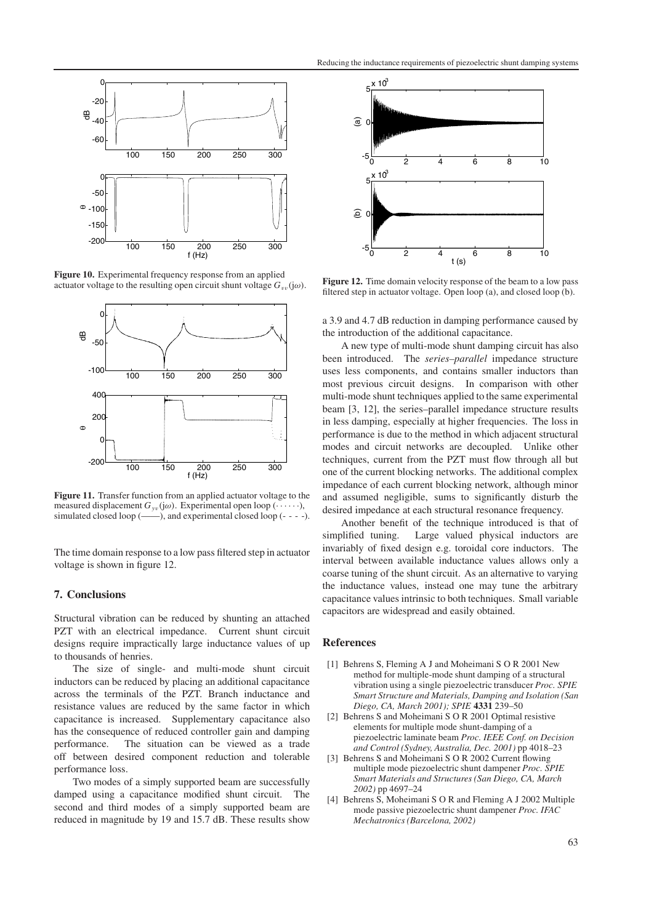

**Figure 10.** Experimental frequency response from an applied actuator voltage to the resulting open circuit shunt voltage  $G_{vv}(j\omega)$ .



**Figure 11.** Transfer function from an applied actuator voltage to the measured displacement  $G_{yv}(j\omega)$ . Experimental open loop ( $\cdots$ ), simulated closed loop  $(\_\_)$ , and experimental closed loop  $(\_ - \_)$ .

The time domain response to a low pass filtered step in actuator voltage is shown in figure 12.

# **7. Conclusions**

Structural vibration can be reduced by shunting an attached PZT with an electrical impedance. Current shunt circuit designs require impractically large inductance values of up to thousands of henries.

The size of single- and multi-mode shunt circuit inductors can be reduced by placing an additional capacitance across the terminals of the PZT. Branch inductance and resistance values are reduced by the same factor in which capacitance is increased. Supplementary capacitance also has the consequence of reduced controller gain and damping performance. The situation can be viewed as a trade off between desired component reduction and tolerable performance loss.

Two modes of a simply supported beam are successfully damped using a capacitance modified shunt circuit. The second and third modes of a simply supported beam are reduced in magnitude by 19 and 15.7 dB. These results show



**Figure 12.** Time domain velocity response of the beam to a low pass filtered step in actuator voltage. Open loop (a), and closed loop (b).

a 3.9 and 4.7 dB reduction in damping performance caused by the introduction of the additional capacitance.

A new type of multi-mode shunt damping circuit has also been introduced. The *series–parallel* impedance structure uses less components, and contains smaller inductors than most previous circuit designs. In comparison with other multi-mode shunt techniques applied to the same experimental beam [3, 12], the series–parallel impedance structure results in less damping, especially at higher frequencies. The loss in performance is due to the method in which adjacent structural modes and circuit networks are decoupled. Unlike other techniques, current from the PZT must flow through all but one of the current blocking networks. The additional complex impedance of each current blocking network, although minor and assumed negligible, sums to significantly disturb the desired impedance at each structural resonance frequency.

Another benefit of the technique introduced is that of simplified tuning. Large valued physical inductors are invariably of fixed design e.g. toroidal core inductors. The interval between available inductance values allows only a coarse tuning of the shunt circuit. As an alternative to varying the inductance values, instead one may tune the arbitrary capacitance values intrinsic to both techniques. Small variable capacitors are widespread and easily obtained.

#### **References**

- [1] Behrens S, Fleming A J and Moheimani S O R 2001 New method for multiple-mode shunt damping of a structural vibration using a single piezoelectric transducer *Proc. SPIE Smart Structure and Materials, Damping and Isolation (San Diego, CA, March 2001); SPIE* **4331** 239–50
- [2] Behrens S and Moheimani S O R 2001 Optimal resistive elements for multiple mode shunt-damping of a piezoelectric laminate beam *Proc. IEEE Conf. on Decision and Control (Sydney, Australia, Dec. 2001)* pp 4018–23
- [3] Behrens S and Moheimani S O R 2002 Current flowing multiple mode piezoelectric shunt dampener *Proc. SPIE Smart Materials and Structures (San Diego, CA, March 2002)* pp 4697–24
- [4] Behrens S, Moheimani S O R and Fleming A J 2002 Multiple mode passive piezoelectric shunt dampener *Proc. IFAC Mechatronics (Barcelona, 2002)*